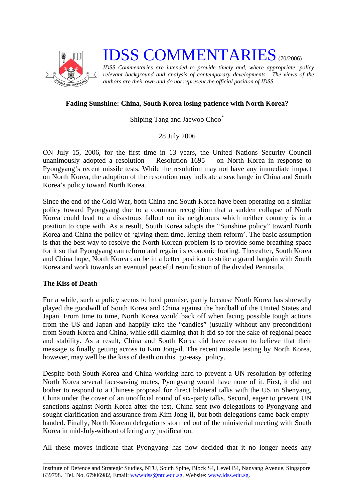

## **IDSS COMMENTARIES** (70/2006)

*IDSS Commentaries are intended to provide timely and, where appropriate, policy relevant background and analysis of contemporary developments. The views of the authors are their own and do not represent the official position of IDSS.* 

## *\_\_\_\_\_\_\_\_\_\_\_\_\_\_\_\_\_\_\_\_\_\_\_\_\_\_\_\_\_\_\_\_\_\_\_\_\_\_\_\_\_\_\_\_\_\_\_\_\_\_\_\_\_\_\_\_\_\_\_\_\_\_\_\_\_\_\_\_\_\_\_\_\_\_\_*  **Fading Sunshine: China, South Korea losing patience with North Korea?**

Shiping Tang and Jaewoo Choo<sup>[\\*](#page-2-0)</sup>

28 July 2006

ON July 15, 2006, for the first time in 13 years, the United Nations Security Council unanimously adopted a resolution -- Resolution 1695 -- on North Korea in response to Pyongyang's recent missile tests. While the resolution may not have any immediate impact on North Korea, the adoption of the resolution may indicate a seachange in China and South Korea's policy toward North Korea.

Since the end of the Cold War, both China and South Korea have been operating on a similar policy toward Pyongyang due to a common recognition that a sudden collapse of North Korea could lead to a disastrous fallout on its neighbours which neither country is in a position to cope with. As a result, South Korea adopts the "Sunshine policy" toward North Korea and China the policy of 'giving them time, letting them reform'. The basic assumption is that the best way to resolve the North Korean problem is to provide some breathing space for it so that Pyongyang can reform and regain its economic footing. Thereafter, South Korea and China hope, North Korea can be in a better position to strike a grand bargain with South Korea and work towards an eventual peaceful reunification of the divided Peninsula.

## **The Kiss of Death**

For a while, such a policy seems to hold promise, partly because North Korea has shrewdly played the goodwill of South Korea and China against the hardball of the United States and Japan. From time to time, North Korea would back off when facing possible tough actions from the US and Japan and happily take the "candies" (usually without any precondition) from South Korea and China, while still claiming that it did so for the sake of regional peace and stability. As a result, China and South Korea did have reason to believe that their message is finally getting across to Kim Jong-il. The recent missile testing by North Korea, however, may well be the kiss of death on this 'go-easy' policy.

Despite both South Korea and China working hard to prevent a UN resolution by offering North Korea several face-saving routes, Pyongyang would have none of it. First, it did not bother to respond to a Chinese proposal for direct bilateral talks with the US in Shenyang, China under the cover of an unofficial round of six-party talks. Second, eager to prevent UN sanctions against North Korea after the test, China sent two delegations to Pyongyang and sought clarification and assurance from Kim Jong-il, but both delegations came back emptyhanded. Finally, North Korean delegations stormed out of the ministerial meeting with South Korea in mid-July without offering any justification.

All these moves indicate that Pyongyang has now decided that it no longer needs any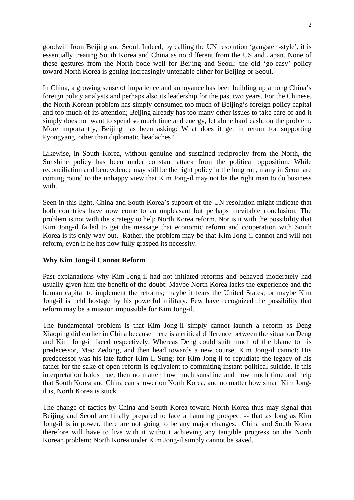goodwill from Beijing and Seoul. Indeed, by calling the UN resolution 'gangster -style', it is essentially treating South Korea and China as no different from the US and Japan. None of these gestures from the North bode well for Beijing and Seoul: the old 'go-easy' policy toward North Korea is getting increasingly untenable either for Beijing or Seoul.

In China, a growing sense of impatience and annoyance has been building up among China's foreign policy analysts and perhaps also its leadership for the past two years. For the Chinese, the North Korean problem has simply consumed too much of Beijing's foreign policy capital and too much of its attention; Beijing already has too many other issues to take care of and it simply does not want to spend so much time and energy, let alone hard cash, on the problem. More importantly, Beijing has been asking: What does it get in return for supporting Pyongyang, other than diplomatic headaches?

Likewise, in South Korea, without genuine and sustained reciprocity from the North, the Sunshine policy has been under constant attack from the political opposition. While reconciliation and benevolence may still be the right policy in the long run, many in Seoul are coming round to the unhappy view that Kim Jong-il may not be the right man to do business with.

Seen in this light, China and South Korea's support of the UN resolution might indicate that both countries have now come to an unpleasant but perhaps inevitable conclusion: The problem is not with the strategy to help North Korea reform. Nor is it with the possibility that Kim Jong-il failed to get the message that economic reform and cooperation with South Korea is its only way out. Rather, the problem may be that Kim Jong-il cannot and will not reform, even if he has now fully grasped its necessity.

## **Why Kim Jong-il Cannot Reform**

Past explanations why Kim Jong-il had not initiated reforms and behaved moderately had usually given him the benefit of the doubt: Maybe North Korea lacks the experience and the human capital to implement the reforms; maybe it fears the United States; or maybe Kim Jong-il is held hostage by his powerful military. Few have recognized the possibility that reform may be a mission impossible for Kim Jong-il.

The fundamental problem is that Kim Jong-il simply cannot launch a reform as Deng Xiaoping did earlier in China because there is a critical difference between the situation Deng and Kim Jong-il faced respectively. Whereas Deng could shift much of the blame to his predecessor, Mao Zedong, and then head towards a new course, Kim Jong-il cannot: His predecessor was his late father Kim Il Sung; for Kim Jong-il to repudiate the legacy of his father for the sake of open reform is equivalent to commiting instant political suicide. If this interpretation holds true, then no matter how much sunshine and how much time and help that South Korea and China can shower on North Korea, and no matter how smart Kim Jongil is, North Korea is stuck.

The change of tactics by China and South Korea toward North Korea thus may signal that Beijing and Seoul are finally prepared to face a haunting prospect -- that as long as Kim Jong-il is in power, there are not going to be any major changes. China and South Korea therefore will have to live with it without achieving any tangible progress on the North Korean problem: North Korea under Kim Jong-il simply cannot be saved.